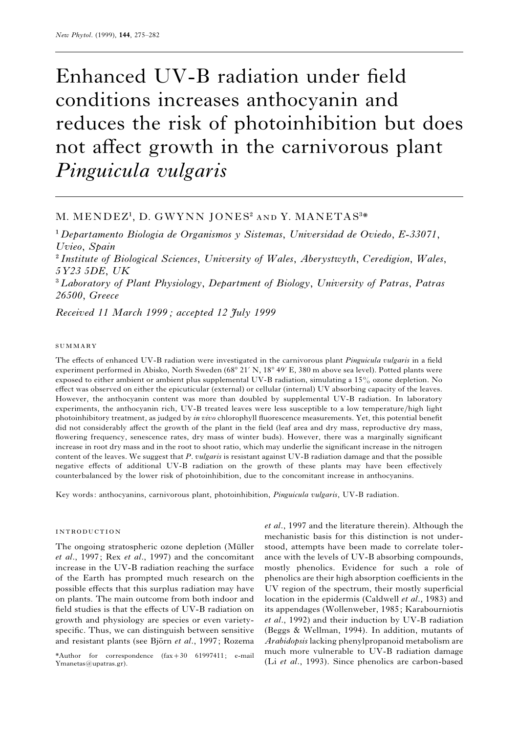# Enhanced UV-B radiation under field conditions increases anthocyanin and reduces the risk of photoinhibition but does not affect growth in the carnivorous plant *Pinguicula vulgaris*

# M. MENDEZ<sup>1</sup>, D. GWYNN JONES<sup>2</sup> AND Y. MANETAS<sup>3\*</sup>

" *Departamento Biologia de Organismos y Sistemas*, *Universidad de Oviedo*, *E-33071*, *Uvieo*, *Spain* # *Institute of Biological Sciences*, *University of Wales*, *Aberystwyth*, *Ceredigion*, *Wales*, *5Y23 5DE*, *UK* \$*Laboratory of Plant Physiology*, *Department of Biology*, *University of Patras*, *Patras 26500*, *Greece*

*Received 11 March 1999 ; accepted 12 July 1999*

#### **SUMMARY**

The effects of enhanced UV-B radiation were investigated in the carnivorous plant *Pinguicula vulgaris* in a field experiment performed in Abisko, North Sweden (68° 21' N, 18° 49' E, 380 m above sea level). Potted plants were exposed to either ambient or ambient plus supplemental UV-B radiation, simulating a 15% ozone depletion. No effect was observed on either the epicuticular (external) or cellular (internal) UV absorbing capacity of the leaves. However, the anthocyanin content was more than doubled by supplemental UV-B radiation. In laboratory experiments, the anthocyanin rich, UV-B treated leaves were less susceptible to a low temperature/high light photoinhibitory treatment, as judged by *in vivo* chlorophyll fluorescence measurements. Yet, this potential benefit did not considerably affect the growth of the plant in the field (leaf area and dry mass, reproductive dry mass, flowering frequency, senescence rates, dry mass of winter buds). However, there was a marginally significant increase in root dry mass and in the root to shoot ratio, which may underlie the significant increase in the nitrogen content of the leaves. We suggest that *P*. *vulgaris* is resistant against UV-B radiation damage and that the possible negative effects of additional UV-B radiation on the growth of these plants may have been effectively counterbalanced by the lower risk of photoinhibition, due to the concomitant increase in anthocyanins.

Key words: anthocyanins, carnivorous plant, photoinhibition, *Pinguicula vulgaris*, UV-B radiation.

#### **INTRODUCTION**

The ongoing stratospheric ozone depletion (Müller) *et al*., 1997; Rex *et al*., 1997) and the concomitant increase in the UV-B radiation reaching the surface of the Earth has prompted much research on the possible effects that this surplus radiation may have on plants. The main outcome from both indoor and field studies is that the effects of UV-B radiation on growth and physiology are species or even varietyspecific. Thus, we can distinguish between sensitive and resistant plants (see Björn *et al.*, 1997; Rozema

\*Author for correspondence  $(fax+30 61997411; e-mail$ Ymanetas@upatras.gr).

*et al*., 1997 and the literature therein). Although the mechanistic basis for this distinction is not understood, attempts have been made to correlate tolerance with the levels of UV-B absorbing compounds, mostly phenolics. Evidence for such a role of phenolics are their high absorption coefficients in the UV region of the spectrum, their mostly superficial location in the epidermis (Caldwell *et al*., 1983) and its appendages (Wollenweber, 1985; Karabourniotis *et al*., 1992) and their induction by UV-B radiation (Beggs & Wellman, 1994). In addition, mutants of *Arabidopsis* lacking phenylpropanoid metabolism are much more vulnerable to UV-B radiation damage (Li *et al*., 1993). Since phenolics are carbon-based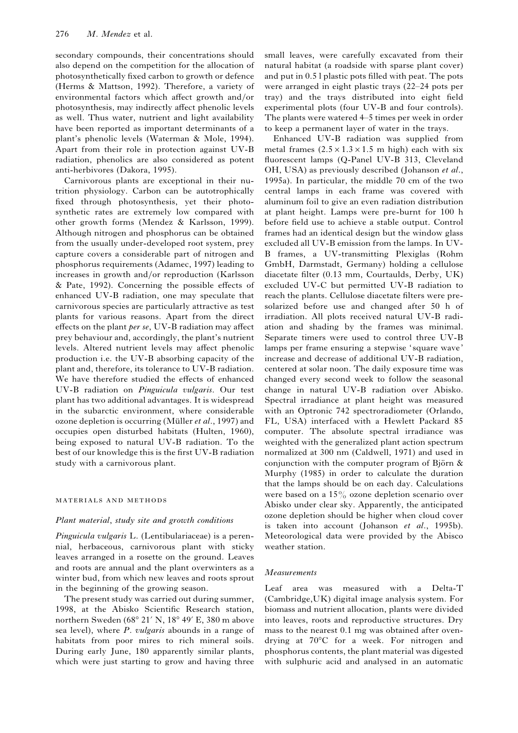secondary compounds, their concentrations should also depend on the competition for the allocation of photosynthetically fixed carbon to growth or defence (Herms & Mattson, 1992). Therefore, a variety of environmental factors which affect growth and/or photosynthesis, may indirectly affect phenolic levels as well. Thus water, nutrient and light availability have been reported as important determinants of a plant's phenolic levels (Waterman & Mole, 1994). Apart from their role in protection against UV-B radiation, phenolics are also considered as potent anti-herbivores (Dakora, 1995).

Carnivorous plants are exceptional in their nutrition physiology. Carbon can be autotrophically fixed through photosynthesis, yet their photosynthetic rates are extremely low compared with other growth forms (Mendez & Karlsson, 1999). Although nitrogen and phosphorus can be obtained from the usually under-developed root system, prey capture covers a considerable part of nitrogen and phosphorus requirements (Adamec, 1997) leading to increases in growth and/or reproduction (Karlsson & Pate, 1992). Concerning the possible effects of enhanced UV-B radiation, one may speculate that carnivorous species are particularly attractive as test plants for various reasons. Apart from the direct effects on the plant *per se*, UV-B radiation may affect prey behaviour and, accordingly, the plant's nutrient levels. Altered nutrient levels may affect phenolic production i.e. the UV-B absorbing capacity of the plant and, therefore, its tolerance to UV-B radiation. We have therefore studied the effects of enhanced UV-B radiation on *Pinguicula vulgaris*. Our test plant has two additional advantages. It is widespread in the subarctic environment, where considerable ozone depletion is occurring (Müller *et al.*, 1997) and occupies open disturbed habitats (Hulten, 1960), being exposed to natural UV-B radiation. To the best of our knowledge this is the first UV-B radiation study with a carnivorous plant.

#### MATERIALS AND METHODS

### *Plant material*, *study site and growth conditions*

*Pinguicula vulgaris* L. (Lentibulariaceae) is a perennial, herbaceous, carnivorous plant with sticky leaves arranged in a rosette on the ground. Leaves and roots are annual and the plant overwinters as a winter bud, from which new leaves and roots sprout in the beginning of the growing season.

The present study was carried out during summer, 1998, at the Abisko Scientific Research station, northern Sweden ( $68^{\circ}$  21' N,  $18^{\circ}$  49' E, 380 m above sea level), where *P*. *vulgaris* abounds in a range of habitats from poor mires to rich mineral soils. During early June, 180 apparently similar plants, which were just starting to grow and having three

small leaves, were carefully excavated from their natural habitat (a roadside with sparse plant cover) and put in 0.5 l plastic pots filled with peat. The pots were arranged in eight plastic trays (22–24 pots per tray) and the trays distributed into eight field experimental plots (four UV-B and four controls). The plants were watered 4–5 times per week in order to keep a permanent layer of water in the trays.

Enhanced UV-B radiation was supplied from metal frames  $(2.5 \times 1.3 \times 1.5 \text{ m high})$  each with six fluorescent lamps (Q-Panel UV-B 313, Cleveland OH, USA) as previously described (Johanson *et al*., 1995a). In particular, the middle 70 cm of the two central lamps in each frame was covered with aluminum foil to give an even radiation distribution at plant height. Lamps were pre-burnt for 100 h before field use to achieve a stable output. Control frames had an identical design but the window glass excluded all UV-B emission from the lamps. In UV-B frames, a UV-transmitting Plexiglas (Rohm GmbH, Darmstadt, Germany) holding a cellulose diacetate filter (0.13 mm, Courtaulds, Derby, UK) excluded UV-C but permitted UV-B radiation to reach the plants. Cellulose diacetate filters were presolarized before use and changed after 50 h of irradiation. All plots received natural UV-B radiation and shading by the frames was minimal. Separate timers were used to control three UV-B lamps per frame ensuring a stepwise 'square wave' increase and decrease of additional UV-B radiation, centered at solar noon. The daily exposure time was changed every second week to follow the seasonal change in natural UV-B radiation over Abisko. Spectral irradiance at plant height was measured with an Optronic 742 spectroradiometer (Orlando, FL, USA) interfaced with a Hewlett Packard 85 computer. The absolute spectral irradiance was weighted with the generalized plant action spectrum normalized at 300 nm (Caldwell, 1971) and used in conjunction with the computer program of Björn  $\&$ Murphy (1985) in order to calculate the duration that the lamps should be on each day. Calculations were based on a 15% ozone depletion scenario over Abisko under clear sky. Apparently, the anticipated ozone depletion should be higher when cloud cover is taken into account (Johanson *et al*., 1995b). Meteorological data were provided by the Abisco weather station.

#### *Measurements*

Leaf area was measured with a Delta-T (Cambridge,UK) digital image analysis system. For biomass and nutrient allocation, plants were divided into leaves, roots and reproductive structures. Dry mass to the nearest 0.1 mg was obtained after ovendrying at 70°C for a week. For nitrogen and phosphorus contents, the plant material was digested with sulphuric acid and analysed in an automatic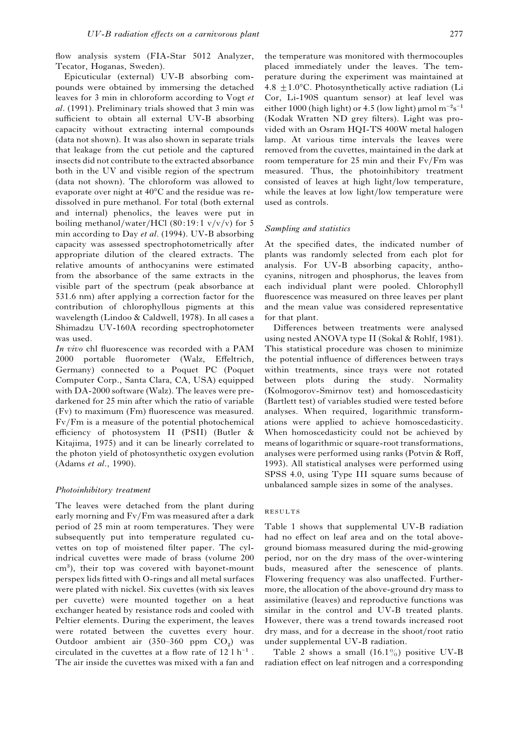flow analysis system (FIA-Star 5012 Analyzer, Tecator, Hoganas, Sweden).

Epicuticular (external) UV-B absorbing compounds were obtained by immersing the detached leaves for 3 min in chloroform according to Vogt *et al*. (1991). Preliminary trials showed that 3 min was sufficient to obtain all external UV-B absorbing capacity without extracting internal compounds (data not shown). It was also shown in separate trials that leakage from the cut petiole and the captured insects did not contribute to the extracted absorbance both in the UV and visible region of the spectrum (data not shown). The chloroform was allowed to evaporate over night at 40°C and the residue was redissolved in pure methanol. For total (both external and internal) phenolics, the leaves were put in boiling methanol/water/HCl  $(80:19:1 \text{ v}/\text{v}/\text{v})$  for 5 min according to Day *et al*. (1994). UV-B absorbing capacity was assessed spectrophotometrically after appropriate dilution of the cleared extracts. The relative amounts of anthocyanins were estimated from the absorbance of the same extracts in the visible part of the spectrum (peak absorbance at 531.6 nm) after applying a correction factor for the contribution of chlorophyllous pigments at this wavelength (Lindoo & Caldwell, 1978). In all cases a Shimadzu UV-160A recording spectrophotometer was used.

*In vivo* chl fluorescence was recorded with a PAM 2000 portable fluorometer (Walz, Effeltrich, Germany) connected to a Poquet PC (Poquet Computer Corp., Santa Clara, CA, USA) equipped with DA-2000 software (Walz). The leaves were predarkened for 25 min after which the ratio of variable (Fv) to maximum (Fm) fluorescence was measured. Fv}Fm is a measure of the potential photochemical efficiency of photosystem II (PSII) (Butler & Kitajima, 1975) and it can be linearly correlated to the photon yield of photosynthetic oxygen evolution (Adams *et al*., 1990).

#### *Photoinhibitory treatment*

The leaves were detached from the plant during early morning and Fv/Fm was measured after a dark period of 25 min at room temperatures. They were subsequently put into temperature regulated cuvettes on top of moistened filter paper. The cylindrical cuvettes were made of brass (volume 200  $cm<sup>3</sup>$ ), their top was covered with bayonet-mount perspex lids fitted with O-rings and all metal surfaces were plated with nickel. Six cuvettes (with six leaves per cuvette) were mounted together on a heat exchanger heated by resistance rods and cooled with Peltier elements. During the experiment, the leaves were rotated between the cuvettes every hour. Outdoor ambient air (350–360 ppm  $CO<sub>2</sub>$ ) was Outdoor ambient air (350–360 ppm  $CO_2$ ) was<br>circulated in the cuvettes at a flow rate of 12 l h<sup>-1</sup>. The air inside the cuvettes was mixed with a fan and the temperature was monitored with thermocouples placed immediately under the leaves. The temperature during the experiment was maintained at 4.8  $\pm$ 1.0°C. Photosynthetically active radiation (Li Cor, Li-190S quantum sensor) at leaf level was either 1000 (high light) or 4.5 (low light) µmol  $m^{-2}s^{-1}$ (Kodak Wratten ND grey filters). Light was provided with an Osram HQI-TS 400W metal halogen lamp. At various time intervals the leaves were removed from the cuvettes, maintained in the dark at room temperature for 25 min and their  $Fv/Fm$  was measured. Thus, the photoinhibitory treatment consisted of leaves at high light/low temperature, while the leaves at low light/low temperature were used as controls.

#### *Sampling and statistics*

At the specified dates, the indicated number of plants was randomly selected from each plot for analysis. For UV-B absorbing capacity, anthocyanins, nitrogen and phosphorus, the leaves from each individual plant were pooled. Chlorophyll fluorescence was measured on three leaves per plant and the mean value was considered representative for that plant.

Differences between treatments were analysed using nested ANOVA type II (Sokal & Rohlf, 1981). This statistical procedure was chosen to minimize the potential influence of differences between trays within treatments, since trays were not rotated between plots during the study. Normality (Kolmogorov-Smirnov test) and homoscedasticity (Bartlett test) of variables studied were tested before analyses. When required, logarithmic transformations were applied to achieve homoscedasticity. When homoscedasticity could not be achieved by means of logarithmic or square-root transformations, analyses were performed using ranks (Potvin & Roff, 1993). All statistical analyses were performed using SPSS 4.0, using Type III square sums because of unbalanced sample sizes in some of the analyses.

## RESULTS

Table 1 shows that supplemental UV-B radiation had no effect on leaf area and on the total aboveground biomass measured during the mid-growing period, nor on the dry mass of the over-wintering buds, measured after the senescence of plants. Flowering frequency was also unaffected. Furthermore, the allocation of the above-ground dry mass to assimilative (leaves) and reproductive functions was similar in the control and UV-B treated plants. However, there was a trend towards increased root dry mass, and for a decrease in the shoot/root ratio under supplemental UV-B radiation.

Table 2 shows a small  $(16.1\%)$  positive UV-B radiation effect on leaf nitrogen and a corresponding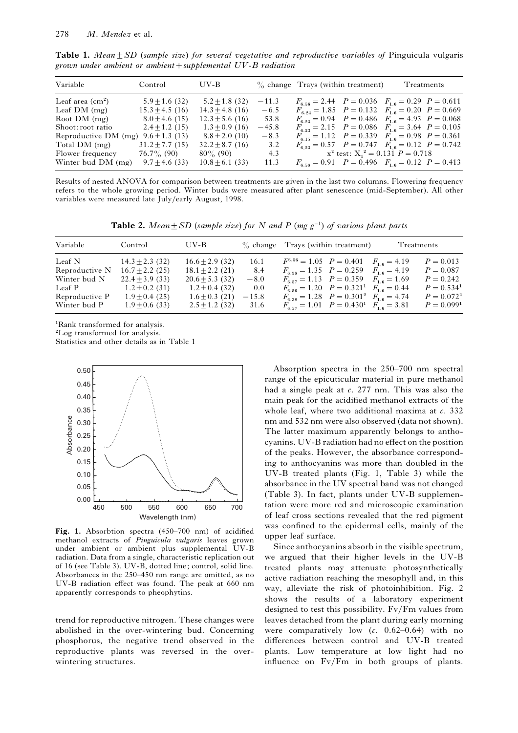| Variable                                | Control             | UV-B                |         | $\%$ change Trays (within treatment)                       | Treatments                              |  |
|-----------------------------------------|---------------------|---------------------|---------|------------------------------------------------------------|-----------------------------------------|--|
| Leaf area $\rm (cm^2)$                  | $5.9 \pm 1.6$ (32)  | $5.2 \pm 1.8$ (32)  | $-11.3$ | $F_{6.56} = 2.44$ $P = 0.036$ $F_{1.6} = 0.29$ $P = 0.611$ |                                         |  |
| Leaf $DM$ (mg)                          | $15.3 \pm 4.5$ (16) | $14.3 \pm 4.8$ (16) | $-6.5$  | $F_{8.24} = 1.85$ $P = 0.132$ $F_{1.6} = 0.20$ $P = 0.669$ |                                         |  |
| Root $DM$ (mg)                          | $8.0 \pm 4.6$ (15)  | $12.3 + 5.6(16)$    | 53.8    | $F_{6.23} = 0.94$ $P = 0.486$ $F_{1.6} = 4.93$ $P = 0.068$ |                                         |  |
| Shoot: root ratio                       | $2.4 + 1.2(15)$     | $1.3 + 0.9(16)$     | $-45.8$ | $F_{6.23} = 2.15$ $P = 0.086$ $F_{1.6} = 3.64$ $P = 0.105$ |                                         |  |
| Reproductive DM (mg) $9.6 \pm 1.3$ (13) |                     | $8.8 \pm 2.0$ (10)  | $-8.3$  | $F_{6,15} = 1.12$ $P = 0.339$ $F_{1,6} = 0.98$ $P = 0.361$ |                                         |  |
| Total DM (mg)                           | $31.2 \pm 7.7(15)$  | $32.2 \pm 8.7(16)$  | 3.2     | $F_{6.23} = 0.57$ $P = 0.747$ $F_{1.6} = 0.12$ $P = 0.742$ |                                         |  |
| Flower frequency                        | $76.7\%$ (90)       | $80\%$ (90)         | 4.3     |                                                            | $x^2$ test: $X_1^2 = 0.131$ $P = 0.718$ |  |
| Winter bud DM (mg)                      | $9.7 \pm 4.6$ (33)  | $10.8 \pm 6.1$ (33) | 11.3    | $F_{6.58} = 0.91$ $P = 0.496$ $F_{1.6} = 0.12$ $P = 0.413$ |                                         |  |

**Table 1.** *Mean* $\pm SD$  (*sample size*) *for several vegetative and reproductive variables of* Pinguicula vulgaris *grown under ambient or ambientsupplemental UV*-*B radiation*

Results of nested ANOVA for comparison between treatments are given in the last two columns. Flowering frequency refers to the whole growing period. Winter buds were measured after plant senescence (mid-September). All other variables were measured late July/early August, 1998.

**Table 2.** *Mean* $\pm SD$  (*sample size*) *for N and P* (*mg g*<sup>-1</sup>) *of various plant parts* 

| Variable       | Control             | UV-B                |         | $\%$ change Trays (within treatment)                        |  | Treatments    |
|----------------|---------------------|---------------------|---------|-------------------------------------------------------------|--|---------------|
| Leaf N         | $14.3 \pm 2.3$ (32) | $16.6 \pm 2.9$ (32) | 16.1    | $F^{6.56} = 1.05$ $P = 0.401$ $F_{1.6} = 4.19$              |  | $P = 0.013$   |
| Reproductive N | $16.7 + 2.2(25)$    | $18.1 \pm 2.2$ (21) | 8.4     | $F_{6.38} = 1.35$ $P = 0.259$ $F_{1.6} = 4.19$              |  | $P = 0.087$   |
| Winter bud N   | $22.4 + 3.9(33)$    | $20.6 + 5.3(32)$    | $-8.0$  | $F_{6.57} = 1.13$ $P = 0.359$ $F_{1.6} = 1.69$              |  | $P = 0.242$   |
| Leaf P         | $1.2 \pm 0.2$ (31)  | $1.2 \pm 0.4$ (32)  | 0.0     | $F_{6.56} = 1.20$ $P = 0.321$ $F_{1.6} = 0.44$              |  | $P = 0.5341$  |
| Reproductive P | $1.9 \pm 0.4$ (25)  | $1.6 \pm 0.3$ (21)  | $-15.8$ | $F_{6.38} = 1.28$ $P = 0.301^2$ $F_{1.6} = 4.74$            |  | $P = 0.072^2$ |
| Winter bud P   | $1.9 \pm 0.6$ (33)  | $2.5 \pm 1.2$ (32)  | 31.6    | $F_{6.57} = 1.01$ $P = 0.430$ <sup>1</sup> $F_{1.6} = 3.81$ |  | $P = 0.0991$  |

<sup>1</sup>Rank transformed for analysis.

<sup>2</sup>Log transformed for analysis.

Statistics and other details as in Table 1



**Fig. 1.** Absorbtion spectra (450–700 nm) of acidified methanol extracts of *Pinguicula vulgaris* leaves grown under ambient or ambient plus supplemental UV-B radiation. Data from a single, characteristic replication out of 16 (see Table 3). UV-B, dotted line; control, solid line. Absorbances in the 250–450 nm range are omitted, as no UV-B radiation effect was found. The peak at 660 nm apparently corresponds to pheophytins.

trend for reproductive nitrogen. These changes were abolished in the over-wintering bud. Concerning phosphorus, the negative trend observed in the reproductive plants was reversed in the overwintering structures.

Absorption spectra in the 250–700 nm spectral range of the epicuticular material in pure methanol had a single peak at *c*. 277 nm. This was also the main peak for the acidified methanol extracts of the whole leaf, where two additional maxima at *c*. 332 nm and 532 nm were also observed (data not shown). The latter maximum apparently belongs to anthocyanins. UV-B radiation had no effect on the position of the peaks. However, the absorbance corresponding to anthocyanins was more than doubled in the UV-B treated plants (Fig. 1, Table 3) while the absorbance in the UV spectral band was not changed (Table 3). In fact, plants under UV-B supplementation were more red and microscopic examination of leaf cross sections revealed that the red pigment was confined to the epidermal cells, mainly of the upper leaf surface.

Since anthocyanins absorb in the visible spectrum, we argued that their higher levels in the UV-B treated plants may attenuate photosynthetically active radiation reaching the mesophyll and, in this way, alleviate the risk of photoinhibition. Fig. 2 shows the results of a laboratory experiment designed to test this possibility.  $Fv/Fm$  values from leaves detached from the plant during early morning were comparatively low (*c*. 0.62–0.64) with no differences between control and UV-B treated plants. Low temperature at low light had no influence on  $Fv/Fm$  in both groups of plants.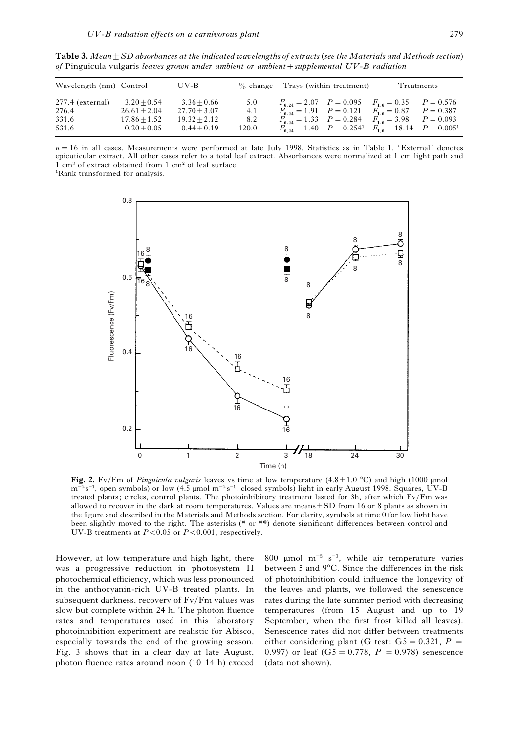| Wavelength (nm) Control     |                                 | UV-B                            |              | $\%$ change Trays (within treatment) |                                                                                                                                        | Treatments |                            |
|-----------------------------|---------------------------------|---------------------------------|--------------|--------------------------------------|----------------------------------------------------------------------------------------------------------------------------------------|------------|----------------------------|
| $277.4$ (external)<br>276.4 | $3.20 + 0.54$<br>$26.61 + 2.04$ | $3.36 + 0.66$<br>$27.70 + 3.07$ | 5.0<br>4.1   |                                      | $F_{6.24} = 2.07$ $P = 0.095$ $F_{1.6} = 0.35$<br>$F_{6.24} = 1.91$ $P = 0.121$ $F_{1.6} = 0.87$                                       |            | $P = 0.576$<br>$P = 0.387$ |
| 331.6<br>531.6              | $17.86 + 1.52$<br>$0.20 + 0.05$ | $19.32 + 2.12$<br>$0.44 + 0.19$ | 8.2<br>120.0 |                                      | $F_{6,24} = 1.33$ $P = 0.284$ $F_{1,6} = 3.98$ $P = 0.093$<br>$F_{6.24} = 1.40$ $P = 0.254$ $F_{1.6} = 18.14$ $P = 0.005$ <sup>1</sup> |            |                            |

**Table 3.** *Mean* + SD absorbances at the indicated wavelengths of extracts (see the Materials and Methods section) *of* Pinguicula vulgaris *leaves grown under ambient or ambientsupplemental UV*-*B radiation*

 $n=16$  in all cases. Measurements were performed at late July 1998. Statistics as in Table 1. 'External' denotes epicuticular extract. All other cases refer to a total leaf extract. Absorbances were normalized at 1 cm light path and 1 cm<sup>3</sup> of extract obtained from 1 cm<sup>2</sup> of leaf surface.

<sup>1</sup>Rank transformed for analysis.



Fig. 2. Fv/Fm of *Pinguicula vulgaris* leaves vs time at low temperature  $(4.8 \pm 1.0 \degree C)$  and high (1000 µmol  $m^{-2}$ s<sup>-1</sup>, open symbols) or low (4.5 µmol  $m^{-2}$ s<sup>-1</sup>, closed symbols) light in early August 1998. Squares, UV-B treated plants; circles, control plants. The photoinhibitory treatment lasted for 3h, after which  $Fv/Fm$  was allowed to recover in the dark at room temperatures. Values are means  $+$  SD from 16 or 8 plants as shown in the figure and described in the Materials and Methods section. For clarity, symbols at time 0 for low light have been slightly moved to the right. The asterisks (\* or \*\*) denote significant differences between control and UV-B treatments at  $P < 0.05$  or  $P < 0.001$ , respectively.

However, at low temperature and high light, there was a progressive reduction in photosystem II photochemical efficiency, which was less pronounced in the anthocyanin-rich UV-B treated plants. In subsequent darkness, recovery of Fv/Fm values was slow but complete within 24 h. The photon fluence rates and temperatures used in this laboratory photoinhibition experiment are realistic for Abisco, especially towards the end of the growing season. Fig. 3 shows that in a clear day at late August, photon fluence rates around noon (10–14 h) exceed 800 µmol m<sup>-2</sup> s<sup>-1</sup>, while air temperature varies between 5 and 9°C. Since the differences in the risk of photoinhibition could influence the longevity of the leaves and plants, we followed the senescence rates during the late summer period with decreasing temperatures (from 15 August and up to 19 September, when the first frost killed all leaves). Senescence rates did not differ between treatments either considering plant (G test:  $G5 = 0.321$ ,  $P =$ 0.997) or leaf  $(G5 = 0.778, P = 0.978)$  senescence (data not shown).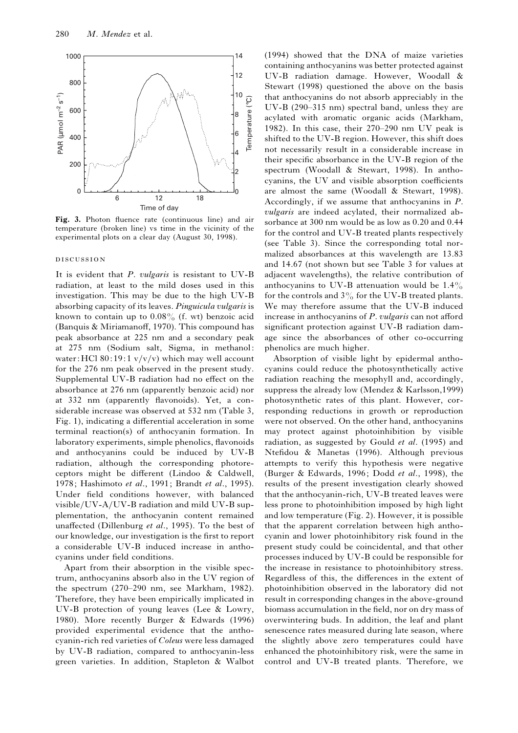

Fig. 3. Photon fluence rate (continuous line) and air temperature (broken line) vs time in the vicinity of the experimental plots on a clear day (August 30, 1998).

#### **DISCUSSION**

It is evident that *P*. *vulgaris* is resistant to UV-B radiation, at least to the mild doses used in this investigation. This may be due to the high UV-B absorbing capacity of its leaves. *Pinguicula vulgaris* is known to contain up to  $0.08\%$  (f. wt) benzoic acid (Banquis & Miriamanoff, 1970). This compound has peak absorbance at 225 nm and a secondary peak at 275 nm (Sodium salt, Sigma, in methanol: water: HCl 80:19:1  $v/v/v$ ) which may well account for the 276 nm peak observed in the present study. Supplemental UV-B radiation had no effect on the absorbance at 276 nm (apparently benzoic acid) nor at 332 nm (apparently flavonoids). Yet, a considerable increase was observed at 532 nm (Table 3, Fig. 1), indicating a differential acceleration in some terminal reaction(s) of anthocyanin formation. In laboratory experiments, simple phenolics, flavonoids and anthocyanins could be induced by UV-B radiation, although the corresponding photoreceptors might be different (Lindoo & Caldwell, 1978; Hashimoto *et al*., 1991; Brandt *et al*., 1995). Under field conditions however, with balanced visible/UV-A/UV-B radiation and mild UV-B supplementation, the anthocyanin content remained unaffected (Dillenburg *et al*., 1995). To the best of our knowledge, our investigation is the first to report a considerable UV-B induced increase in anthocyanins under field conditions.

Apart from their absorption in the visible spectrum, anthocyanins absorb also in the UV region of the spectrum (270–290 nm, see Markham, 1982). Therefore, they have been empirically implicated in UV-B protection of young leaves (Lee & Lowry, 1980). More recently Burger & Edwards (1996) provided experimental evidence that the anthocyanin-rich red varieties of *Coleus* were less damaged by UV-B radiation, compared to anthocyanin-less green varieties. In addition, Stapleton & Walbot (1994) showed that the DNA of maize varieties containing anthocyanins was better protected against UV-B radiation damage. However, Woodall & Stewart (1998) questioned the above on the basis that anthocyanins do not absorb appreciably in the UV-B (290–315 nm) spectral band, unless they are acylated with aromatic organic acids (Markham, 1982). In this case, their 270–290 nm UV peak is shifted to the UV-B region. However, this shift does not necessarily result in a considerable increase in their specific absorbance in the UV-B region of the spectrum (Woodall & Stewart, 1998). In anthocyanins, the UV and visible absorption coefficients are almost the same (Woodall & Stewart, 1998). Accordingly, if we assume that anthocyanins in *P*. *vulgaris* are indeed acylated, their normalized absorbance at 300 nm would be as low as 0.20 and 0.44 for the control and UV-B treated plants respectively (see Table 3). Since the corresponding total normalized absorbances at this wavelength are 13.83 and 14.67 (not shown but see Table 3 for values at adjacent wavelengths), the relative contribution of anthocyanins to UV-B attenuation would be  $1.4\%$ for the controls and  $3\%$  for the UV-B treated plants. We may therefore assume that the UV-B induced increase in anthocyanins of *P*. *vulgaris* can not afford significant protection against UV-B radiation damage since the absorbances of other co-occurring phenolics are much higher.

Absorption of visible light by epidermal anthocyanins could reduce the photosynthetically active radiation reaching the mesophyll and, accordingly, suppress the already low (Mendez & Karlsson,1999) photosynthetic rates of this plant. However, corresponding reductions in growth or reproduction were not observed. On the other hand, anthocyanins may protect against photoinhibition by visible radiation, as suggested by Gould *et al*. (1995) and Ntefidou & Manetas (1996). Although previous attempts to verify this hypothesis were negative (Burger & Edwards, 1996; Dodd *et al*., 1998), the results of the present investigation clearly showed that the anthocyanin-rich, UV-B treated leaves were less prone to photoinhibition imposed by high light and low temperature (Fig. 2). However, it is possible that the apparent correlation between high anthocyanin and lower photoinhibitory risk found in the present study could be coincidental, and that other processes induced by UV-B could be responsible for the increase in resistance to photoinhibitory stress. Regardless of this, the differences in the extent of photoinhibition observed in the laboratory did not result in corresponding changes in the above-ground biomass accumulation in the field, nor on dry mass of overwintering buds. In addition, the leaf and plant senescence rates measured during late season, where the slightly above zero temperatures could have enhanced the photoinhibitory risk, were the same in control and UV-B treated plants. Therefore, we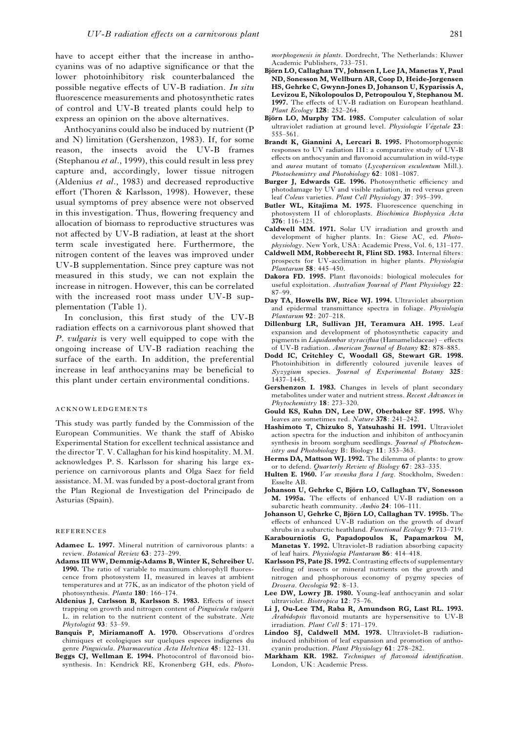have to accept either that the increase in anthocyanins was of no adaptive significance or that the lower photoinhibitory risk counterbalanced the possible negative effects of UV-B radiation. *In situ* fluorescence measurements and photosynthetic rates of control and UV-B treated plants could help to express an opinion on the above alternatives.

Anthocyanins could also be induced by nutrient (P and N) limitation (Gershenzon, 1983). If, for some reason, the insects avoid the UV-B frames (Stephanou *et al*., 1999), this could result in less prey capture and, accordingly, lower tissue nitrogen (Aldenius *et al*., 1983) and decreased reproductive effort (Thoren & Karlsson, 1998). However, these usual symptoms of prey absence were not observed in this investigation. Thus, flowering frequency and allocation of biomass to reproductive structures was not affected by UV-B radiation, at least at the short term scale investigated here. Furthermore, the nitrogen content of the leaves was improved under UV-B supplementation. Since prey capture was not measured in this study, we can not explain the increase in nitrogen. However, this can be correlated with the increased root mass under UV-B supplementation (Table 1).

In conclusion, this first study of the UV-B radiation effects on a carnivorous plant showed that *P*. *vulgaris* is very well equipped to cope with the ongoing increase of UV-B radiation reaching the surface of the earth. In addition, the preferential increase in leaf anthocyanins may be beneficial to this plant under certain environmental conditions.

### **ACKNOWLEDGEMENTS**

This study was partly funded by the Commission of the European Communities. We thank the staff of Abisko Experimental Station for excellent technical assistance and the director T. V. Callaghan for his kind hospitality. M.M. acknowledges P. S. Karlsson for sharing his large experience on carnivorous plants and Olga Saez for field assistance. M.M. was funded by a post-doctoral grant from the Plan Regional de Investigation del Principado de Asturias (Spain).

#### **REFERENCES**

- **Adamec L. 1997.** Mineral nutrition of carnivorous plants: a review. *Botanical Review* **63**: 273–299.
- **Adams III WW, Demmig-Adams B, Winter K, Schreiber U. 1990.** The ratio of variable to maximum chlorophyll fluorescence from photosystem II, measured in leaves at ambient temperatures and at 77K, as an indicator of the photon yield of photosynthesis. *Planta* **180**: 166–174.
- **Aldenius J, Carlsson B, Karlsson S. 1983.** Effects of insect trapping on growth and nitrogen content of *Pinguicula vulgaris* L. in relation to the nutrient content of the substrate. *New Phytologist* **93**: 53–59.
- **Banquis P, Miriamanoff A. 1970.** Observations d'ordres chimiques et ecologiques sur quelques especes indigenes du genre *Pinguicula*. *Pharmaceutica Acta Helvetica* **45**: 122–131.
- **Beggs CJ, Wellman E. 1994.** Photocontrol of flavonoid biosynthesis. In: Kendrick RE, Kronenberg GH, eds. *Photo*-

*morphogenesis in plants*. Dordrecht, The Netherlands: Kluwer Academic Publishers, 733–751.

- **Bjo\$rn LO, Callaghan TV, Johnsen I, Lee JA, Manetas Y, Paul ND, Sonesson M, Wellburn AR, Coop D, Heide-Jorgensen HS, Gehrke C, Gwynn-Jones D, Johanson U, Kyparissis A, Levizou E, Nikolopoulos D, Petropoulou Y, Stephanou M. 1997.** The effects of UV-B radiation on European heathland. *Plant Ecology* **128**: 252–264.
- **Bjo\$rn LO, Murphy TM. 1985.** Computer calculation of solar ultraviolet radiation at ground level. *Physiologie Végetale* 23: 555–561.
- **Brandt K, Giannini A, Lercari B. 1995.** Photomorphogenic responses to UV radiation III: a comparative study of UV-B effects on anthocyanin and flavonoid accumulation in wild-type and *aurea* mutant of tomato (*Lycopersicon esculentum* Mill.). *Photochemistry and Photobiology* **62**: 1081–1087.
- **Burger J, Edwards GE. 1996.** Photosynthetic efficiency and photodamage by UV and visible radiation, in red versus green leaf *Coleus* varieties. *Plant Cell Physiology* **37**: 395–399.
- **Butler WL, Kitajima M. 1975.** Fluorescence quenching in photosystem II of chloroplasts. *Biochimica Biophysica Acta* **376**: 116–125.
- **Caldwell MM. 1971.** Solar UV irradiation and growth and development of higher plants. In: Giese AC, ed. *Photophysiology*. New York, USA: Academic Press, Vol. 6, 131–177.
- **Caldwell MM, Robberecht R, Flint SD. 1983.** Internal filters: prospects for UV-acclimation in higher plants. *Physiologia Plantarum* **58**: 445–450.
- **Dakora FD. 1995.** Plant flavonoids: biological molecules for useful exploitation. *Australian Journal of Plant Physiology* **22**: 87–99.
- **Day TA, Howells BW, Rice WJ. 1994.** Ultraviolet absorption and epidermal transmittance spectra in foliage. *Physiologia Plantarum* **92**: 207–218.
- **Dillenburg LR, Sullivan JH, Teramura AH. 1995.** Leaf expansion and development of photosynthetic capacity and pigments in *Liquidambar styraciflua* (Hamamelidaceae) – effects of UV-B radiation. *American Journal of Botany* **82**: 878–885.
- **Dodd IC, Critchley C, Woodall GS, Stewart GR. 1998.** Photoinhibition in differently coloured juvenile leaves of *Syzygium* species. *Journal of Experimental Botany* **325**: 1437–1445.
- **Gershenzon I. 1983.** Changes in levels of plant secondary metabolites under water and nutrient stress. *Recent Advances in Phytochemistry* **18**: 273–320.
- **Gould KS, Kuhn DN, Lee DW, Oberbaker SF. 1995.** Why leaves are sometimes red. *Nature* **378**: 241–242.
- **Hashimoto T, Chizuko S, Yatsuhashi H. 1991.** Ultraviolet action spectra for the induction and inhibiton of anthocyanin synthesis in broom sorghum seedlings. *Journal of Photochemistry and Photobiology* B: Biology **11**: 353–363.
- **Herms DA, Mattson WJ. 1992.** The dilemma of plants: to grow or to defend. *Quarterly Review of Biology* **67**: 283–335.
- **Hulten E. 1960.** *Var svenska flora I farg*. Stockholm, Sweden: Esselte AB.
- **Johanson U, Gehrke C, Bjo\$rn LO, Callaghan TV, Sonesson M. 1995a.** The effects of enhanced UV-B radiation on a subarctic heath community. *Ambio* **24**: 106–111.
- **Johanson U, Gehrke C, Bjo\$rn LO, Callaghan TV. 1995b.** The effects of enhanced UV-B radiation on the growth of dwarf shrubs in a subarctic heathland. *Functional Ecology* **9**: 713–719.
- **Karabourniotis G, Papadopoulos K, Papamarkou M, Manetas Y. 1992.** Ultraviolet-B radiation absorbing capacity of leaf hairs. *Physiologia Plantarum* **86**: 414–418.
- **Karlsson PS, Pate JS. 1992.** Contrasting effects of supplementary feeding of insects or mineral nutrients on the growth and nitrogen and phosphorous economy of pygmy species of *Drosera*. *Oecologia* **92**: 8–13.
- **Lee DW, Lowry JB. 1980.** Young-leaf anthocyanin and solar ultraviolet. *Biotropica* **12**: 75–76.
- **Li J, Ou-Lee TM, Raba R, Amundson RG, Last RL. 1993.** *Arabidopsis* flavonoid mutants are hypersensitive to UV-B irradiation. *Plant Cell* **5**: 171–179.
- **Lindoo SJ, Caldwell MM. 1978.** Ultraviolet-B radiationinduced inhibition of leaf expansion and promotion of anthocyanin production. *Plant Physiology* **61**: 278–282.
- **Markham KR. 1982.** *Techniques of flavonoid identification*. London, UK: Academic Press.